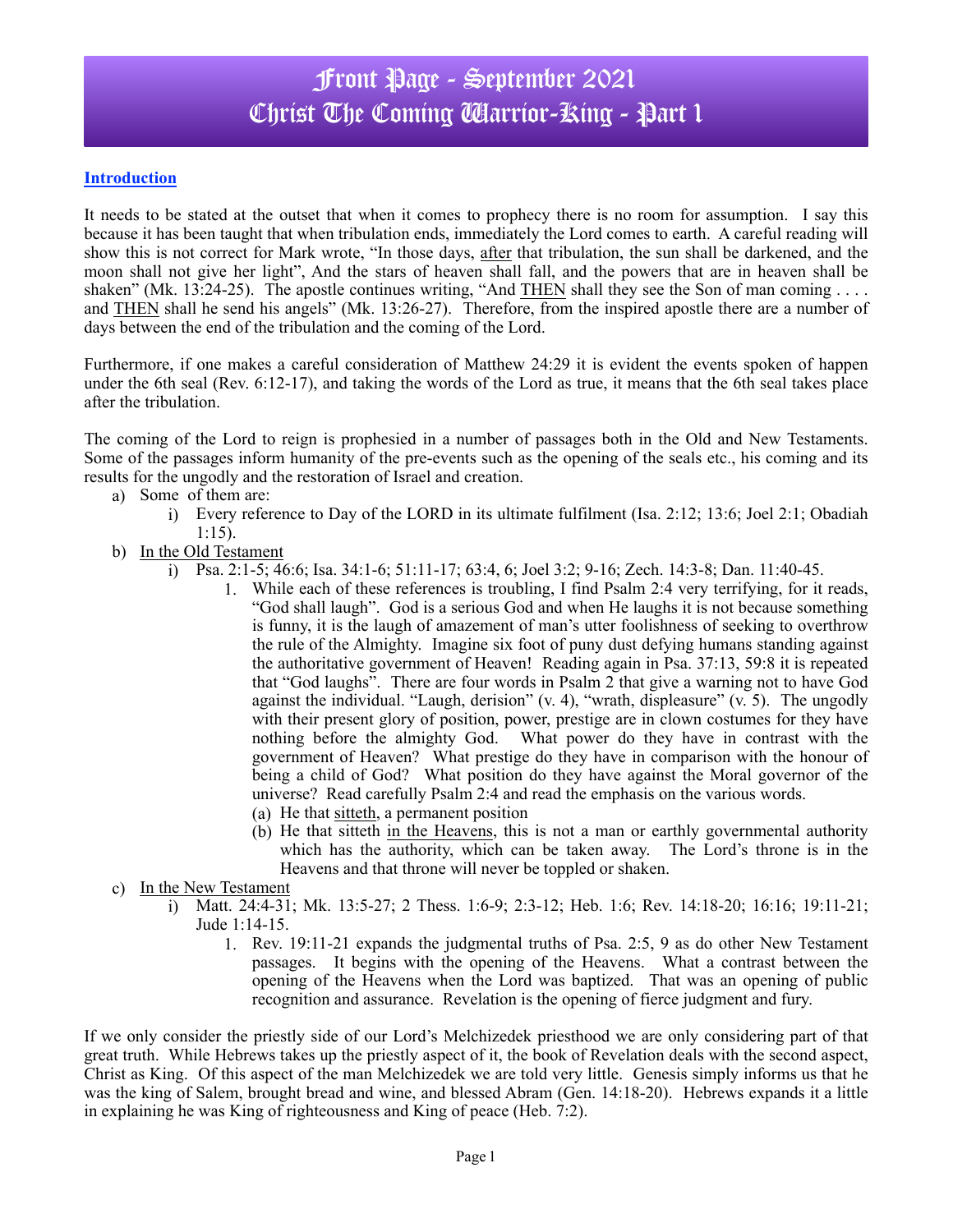### Front Page - September 2021 Christ The Coming Warrior-King - Part 1

#### **Introduction**

It needs to be stated at the outset that when it comes to prophecy there is no room for assumption. I say this because it has been taught that when tribulation ends, immediately the Lord comes to earth. A careful reading will show this is not correct for Mark wrote, "In those days, after that tribulation, the sun shall be darkened, and the moon shall not give her light", And the stars of heaven shall fall, and the powers that are in heaven shall be shaken" (Mk. 13:24-25). The apostle continues writing, "And THEN shall they see the Son of man coming . . . . and THEN shall he send his angels" (Mk. 13:26-27). Therefore, from the inspired apostle there are a number of days between the end of the tribulation and the coming of the Lord.

Furthermore, if one makes a careful consideration of Matthew 24:29 it is evident the events spoken of happen under the 6th seal (Rev. 6:12-17), and taking the words of the Lord as true, it means that the 6th seal takes place after the tribulation.

The coming of the Lord to reign is prophesied in a number of passages both in the Old and New Testaments. Some of the passages inform humanity of the pre-events such as the opening of the seals etc., his coming and its results for the ungodly and the restoration of Israel and creation.

- a) Some of them are:
	- i) Every reference to Day of the LORD in its ultimate fulfilment (Isa. 2:12; 13:6; Joel 2:1; Obadiah 1:15).
- b) In the Old Testament
	- i) Psa. 2:1-5; 46:6; Isa. 34:1-6; 51:11-17; 63:4, 6; Joel 3:2; 9-16; Zech. 14:3-8; Dan. 11:40-45.
		- 1. While each of these references is troubling, I find Psalm 2:4 very terrifying, for it reads, "God shall laugh". God is a serious God and when He laughs it is not because something is funny, it is the laugh of amazement of man's utter foolishness of seeking to overthrow the rule of the Almighty. Imagine six foot of puny dust defying humans standing against the authoritative government of Heaven! Reading again in Psa. 37:13, 59:8 it is repeated that "God laughs". There are four words in Psalm 2 that give a warning not to have God against the individual. "Laugh, derision"  $(v, 4)$ , "wrath, displeasure"  $(v, 5)$ . The ungodly with their present glory of position, power, prestige are in clown costumes for they have nothing before the almighty God. What power do they have in contrast with the government of Heaven? What prestige do they have in comparison with the honour of being a child of God? What position do they have against the Moral governor of the universe? Read carefully Psalm 2:4 and read the emphasis on the various words.
			- (a) He that sitteth, a permanent position
			- (b) He that sitteth in the Heavens, this is not a man or earthly governmental authority which has the authority, which can be taken away. The Lord's throne is in the Heavens and that throne will never be toppled or shaken.
- c) In the New Testament
	- i) Matt. 24:4-31; Mk. 13:5-27; 2 Thess. 1:6-9; 2:3-12; Heb. 1:6; Rev. 14:18-20; 16:16; 19:11-21; Jude 1:14-15.
		- 1. Rev. 19:11-21 expands the judgmental truths of Psa. 2:5, 9 as do other New Testament passages. It begins with the opening of the Heavens. What a contrast between the opening of the Heavens when the Lord was baptized. That was an opening of public recognition and assurance. Revelation is the opening of fierce judgment and fury.

If we only consider the priestly side of our Lord's Melchizedek priesthood we are only considering part of that great truth. While Hebrews takes up the priestly aspect of it, the book of Revelation deals with the second aspect, Christ as King. Of this aspect of the man Melchizedek we are told very little. Genesis simply informs us that he was the king of Salem, brought bread and wine, and blessed Abram (Gen. 14:18-20). Hebrews expands it a little in explaining he was King of righteousness and King of peace (Heb. 7:2).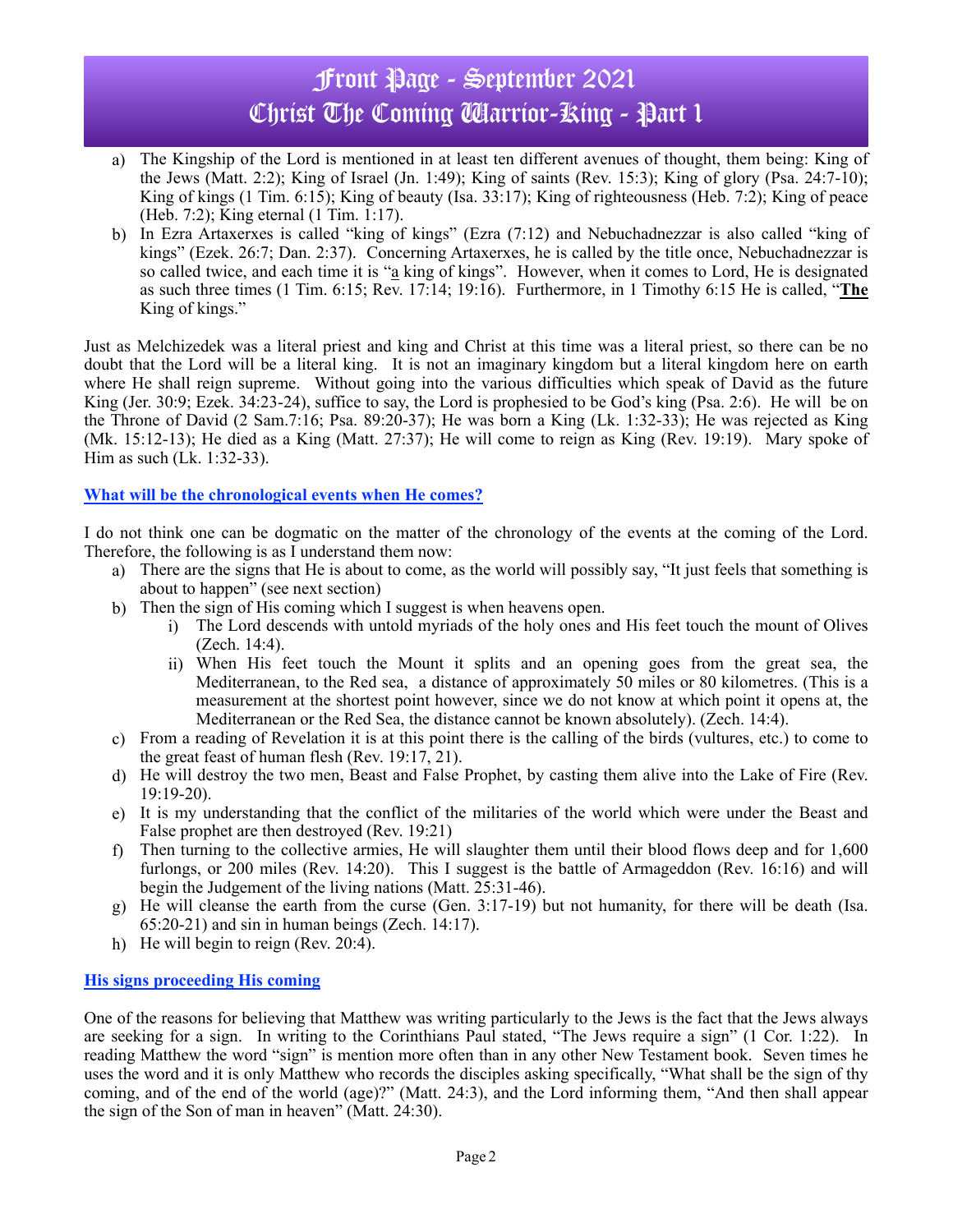# Front Page - September 2021 Christ The Coming Marrior-Ring - Part 1

- a) The Kingship of the Lord is mentioned in at least ten different avenues of thought, them being: King of the Jews (Matt. 2:2); King of Israel (Jn. 1:49); King of saints (Rev. 15:3); King of glory (Psa. 24:7-10); King of kings (1 Tim. 6:15); King of beauty (Isa. 33:17); King of righteousness (Heb. 7:2); King of peace (Heb. 7:2); King eternal (1 Tim. 1:17).
- b) In Ezra Artaxerxes is called "king of kings" (Ezra (7:12) and Nebuchadnezzar is also called "king of kings" (Ezek. 26:7; Dan. 2:37). Concerning Artaxerxes, he is called by the title once, Nebuchadnezzar is so called twice, and each time it is "a king of kings". However, when it comes to Lord, He is designated as such three times (1 Tim. 6:15; Rev. 17:14; 19:16). Furthermore, in 1 Timothy 6:15 He is called, "**The** King of kings."

Just as Melchizedek was a literal priest and king and Christ at this time was a literal priest, so there can be no doubt that the Lord will be a literal king. It is not an imaginary kingdom but a literal kingdom here on earth where He shall reign supreme. Without going into the various difficulties which speak of David as the future King (Jer. 30:9; Ezek. 34:23-24), suffice to say, the Lord is prophesied to be God's king (Psa. 2:6). He will be on the Throne of David (2 Sam.7:16; Psa. 89:20-37); He was born a King (Lk. 1:32-33); He was rejected as King (Mk. 15:12-13); He died as a King (Matt. 27:37); He will come to reign as King (Rev. 19:19). Mary spoke of Him as such (Lk. 1:32-33).

#### **What will be the chronological events when He comes?**

I do not think one can be dogmatic on the matter of the chronology of the events at the coming of the Lord. Therefore, the following is as I understand them now:

- a) There are the signs that He is about to come, as the world will possibly say, "It just feels that something is about to happen" (see next section)
- b) Then the sign of His coming which I suggest is when heavens open.
	- i) The Lord descends with untold myriads of the holy ones and His feet touch the mount of Olives (Zech. 14:4).
	- ii) When His feet touch the Mount it splits and an opening goes from the great sea, the Mediterranean, to the Red sea, a distance of approximately 50 miles or 80 kilometres. (This is a measurement at the shortest point however, since we do not know at which point it opens at, the Mediterranean or the Red Sea, the distance cannot be known absolutely). (Zech. 14:4).
- c) From a reading of Revelation it is at this point there is the calling of the birds (vultures, etc.) to come to the great feast of human flesh (Rev. 19:17, 21).
- d) He will destroy the two men, Beast and False Prophet, by casting them alive into the Lake of Fire (Rev. 19:19-20).
- e) It is my understanding that the conflict of the militaries of the world which were under the Beast and False prophet are then destroyed (Rev. 19:21)
- f) Then turning to the collective armies, He will slaughter them until their blood flows deep and for 1,600 furlongs, or 200 miles (Rev. 14:20). This I suggest is the battle of Armageddon (Rev. 16:16) and will begin the Judgement of the living nations (Matt. 25:31-46).
- g) He will cleanse the earth from the curse (Gen. 3:17-19) but not humanity, for there will be death (Isa. 65:20-21) and sin in human beings (Zech. 14:17).
- h) He will begin to reign (Rev. 20:4).

#### **His signs proceeding His coming**

One of the reasons for believing that Matthew was writing particularly to the Jews is the fact that the Jews always are seeking for a sign. In writing to the Corinthians Paul stated, "The Jews require a sign" (1 Cor. 1:22). In reading Matthew the word "sign" is mention more often than in any other New Testament book. Seven times he uses the word and it is only Matthew who records the disciples asking specifically, "What shall be the sign of thy coming, and of the end of the world (age)?" (Matt. 24:3), and the Lord informing them, "And then shall appear the sign of the Son of man in heaven" (Matt. 24:30).